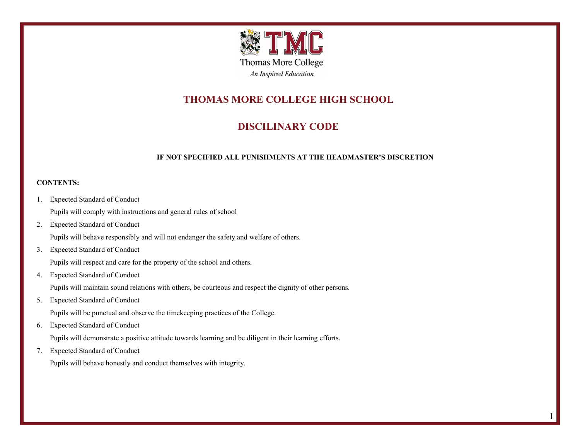

# **THOMAS MORE COLLEGE HIGH SCHOOL**

## **DISCILINARY CODE**

#### **IF NOT SPECIFIED ALL PUNISHMENTS AT THE HEADMASTER'S DISCRETION**

#### **CONTENTS:**

- 1. Expected Standard of Conduct Pupils will comply with instructions and general rules of school
- 2. Expected Standard of Conduct

Pupils will behave responsibly and will not endanger the safety and welfare of others.

3. Expected Standard of Conduct

Pupils will respect and care for the property of the school and others.

4. Expected Standard of Conduct

Pupils will maintain sound relations with others, be courteous and respect the dignity of other persons.

5. Expected Standard of Conduct

Pupils will be punctual and observe the timekeeping practices of the College.

6. Expected Standard of Conduct

Pupils will demonstrate a positive attitude towards learning and be diligent in their learning efforts.

7. Expected Standard of Conduct

Pupils will behave honestly and conduct themselves with integrity.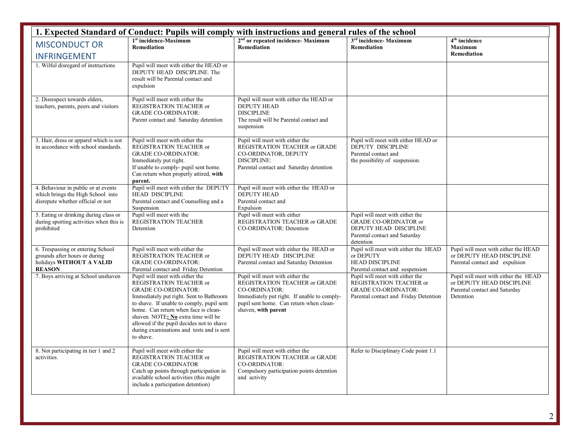| 1. Expected Standard of Conduct: Pupils will comply with instructions and general rules of the school           |                                                                                                                                                                                                                                                                                                                                                                        |                                                                                                                                                                                                    |                                                                                                                                         |                                                                                                                 |
|-----------------------------------------------------------------------------------------------------------------|------------------------------------------------------------------------------------------------------------------------------------------------------------------------------------------------------------------------------------------------------------------------------------------------------------------------------------------------------------------------|----------------------------------------------------------------------------------------------------------------------------------------------------------------------------------------------------|-----------------------------------------------------------------------------------------------------------------------------------------|-----------------------------------------------------------------------------------------------------------------|
| <b>MISCONDUCT OR</b>                                                                                            | 1 <sup>st</sup> incidence-Maximum<br><b>Remediation</b>                                                                                                                                                                                                                                                                                                                | 2 <sup>nd</sup> or repeated incidence- Maximum<br><b>Remediation</b>                                                                                                                               | 3 <sup>rd</sup> incidence- Maximum<br><b>Remediation</b>                                                                                | 4 <sup>th</sup> incidence<br><b>Maximum</b>                                                                     |
| <b>INFRINGEMENT</b>                                                                                             |                                                                                                                                                                                                                                                                                                                                                                        |                                                                                                                                                                                                    |                                                                                                                                         | <b>Remediation</b>                                                                                              |
| 1. Wilful disregard of instructions                                                                             | Pupil will meet with either the HEAD or<br>DEPUTY HEAD DISCIPLINE. The<br>result will be Parental contact and<br>expulsion                                                                                                                                                                                                                                             |                                                                                                                                                                                                    |                                                                                                                                         |                                                                                                                 |
| 2. Disrespect towards elders,<br>teachers, parents, peers and visitors                                          | Pupil will meet with either the<br>REGISTRATION TEACHER or<br><b>GRADE CO-ORDINATOR:</b><br>Parent contact and Saturday detention                                                                                                                                                                                                                                      | Pupil will meet with either the HEAD or<br><b>DEPUTY HEAD</b><br><b>DISCIPLINE</b><br>The result will be Parental contact and<br>suspension                                                        |                                                                                                                                         |                                                                                                                 |
| 3. Hair, dress or apparel which is not<br>in accordance with school standards.                                  | Pupil will meet with either the<br>REGISTRATION TEACHER or<br><b>GRADE CO-ORDINATOR:</b><br>Immediately put right.<br>If unable to comply- pupil sent home.<br>Can return when properly attired, with<br>parent.                                                                                                                                                       | Pupil will meet with either the<br>REGISTRATION TEACHER or GRADE<br>CO-ORDINATOR, DEPUTY<br><b>DISCIPLINE:</b><br>Parental contact and Saturday detention                                          | Pupil will meet with either HEAD or<br>DEPUTY DISCIPLINE<br>Parental contact and<br>the possibility of suspension.                      |                                                                                                                 |
| 4. Behaviour in public or at events<br>which brings the High School into<br>disrepute whether official or not   | Pupil will meet with either the DEPUTY<br><b>HEAD DISCIPLINE</b><br>Parental contact and Counselling and a<br>Suspension                                                                                                                                                                                                                                               | Pupil will meet with either the HEAD or<br><b>DEPUTY HEAD</b><br>Parental contact and<br>Expulsion                                                                                                 |                                                                                                                                         |                                                                                                                 |
| 5. Eating or drinking during class or<br>during sporting activities when this is<br>prohibited                  | Pupil will meet with the<br>REGISTRATION TEACHER<br>Detention                                                                                                                                                                                                                                                                                                          | Pupil will meet with either<br>REGISTRATION TEACHER or GRADE<br>CO-ORDINATOR: Detention                                                                                                            | Pupil will meet with either the<br><b>GRADE CO-ORDINATOR or</b><br>DEPUTY HEAD DISCIPLINE<br>Parental contact and Saturday<br>detention |                                                                                                                 |
| 6. Trespassing or entering School<br>grounds after hours or during<br>holidays WITHOUT A VALID<br><b>REASON</b> | Pupil will meet with either the<br>REGISTRATION TEACHER or<br><b>GRADE CO-ORDINATOR:</b><br>Parental contact and Friday Detention                                                                                                                                                                                                                                      | Pupil will meet with either the HEAD or<br>DEPUTY HEAD DISCIPLINE<br>Parental contact and Saturday Detention                                                                                       | Pupil will meet with either the HEAD<br>or DEPUTY<br><b>HEAD DISCIPLINE</b><br>Parental contact and suspension                          | Pupil will meet with either the HEAD<br>or DEPUTY HEAD DISCIPLINE<br>Parental contact and expulsion             |
| 7. Boys arriving at School unshaven                                                                             | Pupil will meet with either the<br>REGISTRATION TEACHER or<br><b>GRADE CO-ORDINATOR:</b><br>Immediately put right. Sent to Bathroom<br>to shave. If unable to comply, pupil sent<br>home. Can return when face is clean-<br>shaven. NOTE: No extra time will be<br>allowed if the pupil decides not to shave<br>during examinations and tests and is sent<br>to shave. | Pupil will meet with either the<br>REGISTRATION TEACHER or GRADE<br>CO-ORDINATOR:<br>Immediately put right. If unable to comply-<br>pupil sent home. Can return when clean-<br>shaven, with parent | Pupil will meet with either the<br>REGISTRATION TEACHER or<br><b>GRADE CO-ORDINATOR:</b><br>Parental contact and Friday Detention       | Pupil will meet with either the HEAD<br>or DEPUTY HEAD DISCIPLINE<br>Parental contact and Saturday<br>Detention |
| 8. Not participating in tier 1 and 2<br>activities.                                                             | Pupil will meet with either the<br>REGISTRATION TEACHER or<br><b>GRADE CO-ORDINATOR</b><br>Catch up points through participation in<br>available school activities (this might<br>include a participation detention)                                                                                                                                                   | Pupil will meet with either the<br>REGISTRATION TEACHER or GRADE<br>CO-ORDINATOR:<br>Compulsory participation points detention<br>and activity                                                     | Refer to Disciplinary Code point 1.1                                                                                                    |                                                                                                                 |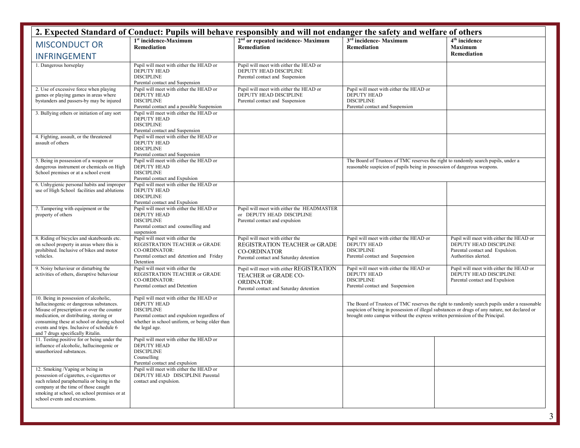| 2. Expected Standard of Conduct: Pupils will behave responsibly and will not endanger the safety and welfare of others                                                                                                                                                                                    |                                                                                                                                                                                                        |                                                                                                                                    |                                                                                                                                                                                                                                                                                |                                                                                                                              |  |
|-----------------------------------------------------------------------------------------------------------------------------------------------------------------------------------------------------------------------------------------------------------------------------------------------------------|--------------------------------------------------------------------------------------------------------------------------------------------------------------------------------------------------------|------------------------------------------------------------------------------------------------------------------------------------|--------------------------------------------------------------------------------------------------------------------------------------------------------------------------------------------------------------------------------------------------------------------------------|------------------------------------------------------------------------------------------------------------------------------|--|
| <b>MISCONDUCT OR</b>                                                                                                                                                                                                                                                                                      | 1 <sup>st</sup> incidence-Maximum<br><b>Remediation</b>                                                                                                                                                | 2 <sup>nd</sup> or repeated incidence- Maximum<br><b>Remediation</b>                                                               | $3rd$ incidence- Maximum<br><b>Remediation</b>                                                                                                                                                                                                                                 | 4 <sup>th</sup> incidence<br><b>Maximum</b>                                                                                  |  |
| <b>INFRINGEMENT</b>                                                                                                                                                                                                                                                                                       |                                                                                                                                                                                                        |                                                                                                                                    |                                                                                                                                                                                                                                                                                | Remediation                                                                                                                  |  |
| 1. Dangerous horseplay                                                                                                                                                                                                                                                                                    | Pupil will meet with either the HEAD or<br><b>DEPUTY HEAD</b><br><b>DISCIPLINE</b><br>Parental contact and Suspension                                                                                  | Pupil will meet with either the HEAD or<br>DEPUTY HEAD DISCIPLINE<br>Parental contact and Suspension                               |                                                                                                                                                                                                                                                                                |                                                                                                                              |  |
| 2. Use of excessive force when playing<br>games or playing games in areas where<br>bystanders and passers-by may be injured                                                                                                                                                                               | Pupil will meet with either the HEAD or<br>DEPUTY HEAD<br><b>DISCIPLINE</b><br>Parental contact and a possible Suspension                                                                              | Pupil will meet with either the HEAD or<br>DEPUTY HEAD DISCIPLINE<br>Parental contact and Suspension                               | Pupil will meet with either the HEAD or<br>DEPUTY HEAD<br><b>DISCIPLINE</b><br>Parental contact and Suspension                                                                                                                                                                 |                                                                                                                              |  |
| 3. Bullying others or initiation of any sort                                                                                                                                                                                                                                                              | Pupil will meet with either the HEAD or<br><b>DEPUTY HEAD</b><br><b>DISCIPLINE</b><br>Parental contact and Suspension                                                                                  |                                                                                                                                    |                                                                                                                                                                                                                                                                                |                                                                                                                              |  |
| 4. Fighting, assault, or the threatened<br>assault of others                                                                                                                                                                                                                                              | Pupil will meet with either the HEAD or<br><b>DEPUTY HEAD</b><br><b>DISCIPLINE</b><br>Parental contact and Suspension                                                                                  |                                                                                                                                    |                                                                                                                                                                                                                                                                                |                                                                                                                              |  |
| 5. Being in possession of a weapon or<br>dangerous instrument or chemicals on High<br>School premises or at a school event                                                                                                                                                                                | Pupil will meet with either the HEAD or<br><b>DEPUTY HEAD</b><br><b>DISCIPLINE</b><br>Parental contact and Expulsion                                                                                   |                                                                                                                                    | The Board of Trustees of TMC reserves the right to randomly search pupils, under a<br>reasonable suspicion of pupils being in possession of dangerous weapons.                                                                                                                 |                                                                                                                              |  |
| 6. Unhygienic personal habits and improper<br>use of High School facilities and ablutions                                                                                                                                                                                                                 | Pupil will meet with either the HEAD or<br><b>DEPUTY HEAD</b><br><b>DISCIPLINE</b><br>Parental contact and Expulsion                                                                                   |                                                                                                                                    |                                                                                                                                                                                                                                                                                |                                                                                                                              |  |
| 7. Tampering with equipment or the<br>property of others                                                                                                                                                                                                                                                  | Pupil will meet with either the HEAD or<br>DEPUTY HEAD<br><b>DISCIPLINE</b><br>Parental contact and counselling and<br>suspension                                                                      | Pupil will meet with either the HEADMASTER<br>or DEPUTY HEAD DISCIPLINE<br>Parental contact and expulsion                          |                                                                                                                                                                                                                                                                                |                                                                                                                              |  |
| 8. Riding of bicycles and skateboards etc.<br>on school property in areas where this is<br>prohibited. Inclusive of bikes and motor<br>vehicles.                                                                                                                                                          | Pupil will meet with either the<br>REGISTRATION TEACHER or GRADE<br>CO-ORDINATOR:<br>Parental contact and detention and Friday<br>Detention                                                            | Pupil will meet with either the<br>REGISTRATION TEACHER or GRADE<br><b>CO-ORDINATOR</b><br>Parental contact and Saturday detention | Pupil will meet with either the HEAD or<br>DEPUTY HEAD<br><b>DISCIPLINE</b><br>Parental contact and Suspension                                                                                                                                                                 | Pupil will meet with either the HEAD or<br>DEPUTY HEAD DISCIPLINE<br>Parental contact and Expulsion.<br>Authorities alerted. |  |
| 9. Noisy behaviour or disturbing the<br>activities of others, disruptive behaviour                                                                                                                                                                                                                        | Pupil will meet with either the<br>REGISTRATION TEACHER or GRADE<br>CO-ORDINATOR:<br>Parental contact and Detention                                                                                    | Pupil will meet with either REGISTRATION<br>TEACHER or GRADE CO-<br><b>ORDINATOR:</b><br>Parental contact and Saturday detention   | Pupil will meet with either the HEAD or<br><b>DEPUTY HEAD</b><br><b>DISCIPLINE</b><br>Parental contact and Suspension                                                                                                                                                          | Pupil will meet with either the HEAD or<br>DEPUTY HEAD DISCIPLINE<br>Parental contact and Expulsion                          |  |
| 10. Being in possession of alcoholic,<br>hallucinogenic or dangerous substances.<br>Misuse of prescription or over the counter<br>medication, or distributing, storing or<br>consuming these at school or during school<br>events and trips. Inclusive of schedule 6<br>and 7 drugs specifically Ritalin. | Pupil will meet with either the HEAD or<br><b>DEPUTY HEAD</b><br><b>DISCIPLINE</b><br>Parental contact and expulsion regardless of<br>whether in school uniform, or being older than<br>the legal age. |                                                                                                                                    | The Board of Trustees of TMC reserves the right to randomly search pupils under a reasonable<br>suspicion of being in possession of illegal substances or drugs of any nature, not declared or<br>brought onto campus without the express written permission of the Principal. |                                                                                                                              |  |
| 11. Testing positive for or being under the<br>influence of alcoholic, hallucinogenic or<br>unauthorized substances.                                                                                                                                                                                      | Pupil will meet with either the HEAD or<br><b>DEPUTY HEAD</b><br><b>DISCIPLINE</b><br>Counselling<br>Parental contact and expulsion                                                                    |                                                                                                                                    |                                                                                                                                                                                                                                                                                |                                                                                                                              |  |
| 12. Smoking /Vaping or being in<br>possession of cigarettes, e-cigarettes or<br>such related paraphernalia or being in the<br>company at the time of those caught<br>smoking at school, on school premises or at<br>school events and excursions.                                                         | Pupil will meet with either the HEAD or<br>DEPUTY HEAD DISCIPLINE Parental<br>contact and expulsion.                                                                                                   |                                                                                                                                    |                                                                                                                                                                                                                                                                                |                                                                                                                              |  |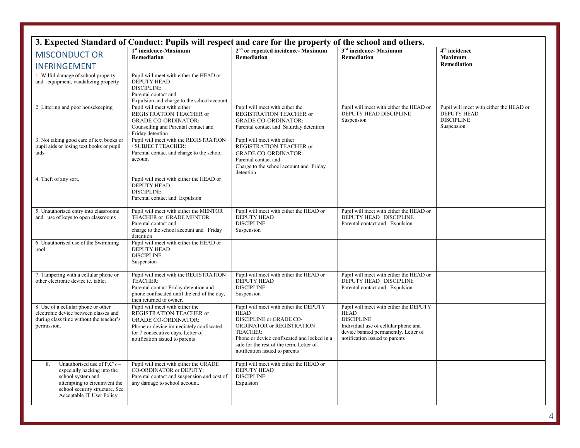| 3. Expected Standard of Conduct: Pupils will respect and care for the property of the school and others.                                                                              |                                                                                                                                                                                                            |                                                                                                                                                                                                                                                        |                                                                                                                                                                                              |                                                                                                  |
|---------------------------------------------------------------------------------------------------------------------------------------------------------------------------------------|------------------------------------------------------------------------------------------------------------------------------------------------------------------------------------------------------------|--------------------------------------------------------------------------------------------------------------------------------------------------------------------------------------------------------------------------------------------------------|----------------------------------------------------------------------------------------------------------------------------------------------------------------------------------------------|--------------------------------------------------------------------------------------------------|
| <b>MISCONDUCT OR</b>                                                                                                                                                                  | 1 <sup>st</sup> incidence-Maximum<br><b>Remediation</b>                                                                                                                                                    | 2 <sup>nd</sup> or repeated incidence- Maximum<br><b>Remediation</b>                                                                                                                                                                                   | 3 <sup>rd</sup> incidence- Maximum<br><b>Remediation</b>                                                                                                                                     | 4 <sup>th</sup> incidence<br><b>Maximum</b>                                                      |
| <b>INFRINGEMENT</b>                                                                                                                                                                   |                                                                                                                                                                                                            |                                                                                                                                                                                                                                                        |                                                                                                                                                                                              | <b>Remediation</b>                                                                               |
| 1. Wilful damage of school property<br>and equipment, vandalizing property                                                                                                            | Pupil will meet with either the HEAD or<br><b>DEPUTY HEAD</b><br><b>DISCIPLINE</b><br>Parental contact and<br>Expulsion and charge to the school account                                                   |                                                                                                                                                                                                                                                        |                                                                                                                                                                                              |                                                                                                  |
| 2. Littering and poor housekeeping                                                                                                                                                    | Pupil will meet with either<br>REGISTRATION TEACHER or<br><b>GRADE CO-ORDINATOR:</b><br>Counselling and Parental contact and<br>Friday detention                                                           | Pupil will meet with either the<br>REGISTRATION TEACHER or<br><b>GRADE CO-ORDINATOR:</b><br>Parental contact and Saturday detention                                                                                                                    | Pupil will meet with either the HEAD or<br>DEPUTY HEAD DISCIPLINE<br>Suspension                                                                                                              | Pupil will meet with either the HEAD or<br><b>DEPUTY HEAD</b><br><b>DISCIPLINE</b><br>Suspension |
| 3. Not taking good care of text books or<br>pupil aids or losing text books or pupil<br>aids                                                                                          | Pupil will meet with the REGISTRATION<br>/ SUBJECT TEACHER:<br>Parental contact and charge to the school<br>account                                                                                        | Pupil will meet with either<br>REGISTRATION TEACHER or<br><b>GRADE CO-ORDINATOR:</b><br>Parental contact and<br>Charge to the school account and Friday<br>detention                                                                                   |                                                                                                                                                                                              |                                                                                                  |
| 4. Theft of any sort.                                                                                                                                                                 | Pupil will meet with either the HEAD or<br><b>DEPUTY HEAD</b><br><b>DISCIPLINE</b><br>Parental contact and Expulsion                                                                                       |                                                                                                                                                                                                                                                        |                                                                                                                                                                                              |                                                                                                  |
| 5. Unauthorised entry into classrooms<br>and use of keys to open classrooms                                                                                                           | Pupil will meet with either the MENTOR<br>TEACHER or GRADE MENTOR:<br>Parental contact and<br>charge to the school account and Friday<br>detention                                                         | Pupil will meet with either the HEAD or<br><b>DEPUTY HEAD</b><br><b>DISCIPLINE</b><br>Suspension                                                                                                                                                       | Pupil will meet with either the HEAD or<br>DEPUTY HEAD DISCIPLINE<br>Parental contact and Expulsion                                                                                          |                                                                                                  |
| 6. Unauthorised use of the Swimming<br>pool.                                                                                                                                          | Pupil will meet with either the HEAD or<br><b>DEPUTY HEAD</b><br><b>DISCIPLINE</b><br>Suspension                                                                                                           |                                                                                                                                                                                                                                                        |                                                                                                                                                                                              |                                                                                                  |
| 7. Tampering with a cellular phone or<br>other electronic device ie, tablet                                                                                                           | Pupil will meet with the REGISTRATION<br>TEACHER:<br>Parental contact Friday detention and<br>phone confiscated until the end of the day,<br>then returned to owner.                                       | Pupil will meet with either the HEAD or<br><b>DEPUTY HEAD</b><br><b>DISCIPLINE</b><br>Suspension                                                                                                                                                       | Pupil will meet with either the HEAD or<br>DEPUTY HEAD DISCIPLINE<br>Parental contact and Expulsion                                                                                          |                                                                                                  |
| 8. Use of a cellular phone or other<br>electronic device between classes and<br>during class time without the teacher's<br>permission.                                                | Pupil will meet with either the<br>REGISTRATION TEACHER or<br><b>GRADE CO-ORDINATOR:</b><br>Phone or device immediately confiscated<br>for 7 consecutive days. Letter of<br>notification issued to parents | Pupil will meet with either the DEPUTY<br><b>HEAD</b><br>DISCIPLINE or GRADE CO-<br>ORDINATOR or REGISTRATION<br>TEACHER:<br>Phone or device confiscated and locked in a<br>safe for the rest of the term. Letter of<br>notification issued to parents | Pupil will meet with either the DEPUTY<br><b>HEAD</b><br><b>DISCIPLINE</b><br>Individual use of cellular phone and<br>device banned permanently. Letter of<br>notification issued to parents |                                                                                                  |
| Unauthorised use of P.C's -<br>8.<br>especially hacking into the<br>school system and<br>attempting to circumvent the<br>school security structure. See<br>Acceptable IT User Policy. | Pupil will meet with either the GRADE<br>CO-ORDINATOR or DEPUTY:<br>Parental contact and suspension and cost of<br>any damage to school account.                                                           | Pupil will meet with either the HEAD or<br><b>DEPUTY HEAD</b><br><b>DISCIPLINE</b><br>Expulsion                                                                                                                                                        |                                                                                                                                                                                              |                                                                                                  |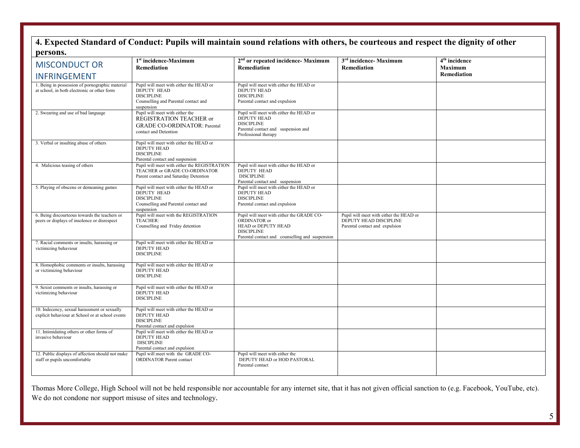### **4. Expected Standard of Conduct: Pupils will maintain sound relations with others, be courteous and respect the dignity of other persons.**

| D CL DO LLDO<br><b>MISCONDUCT OR</b>                                                             | 1 <sup>st</sup> incidence-Maximum                                                                                                        | 2 <sup>nd</sup> or repeated incidence- Maximum                                                                                                           | 3 <sup>rd</sup> incidence- Maximum                                                                  | 4 <sup>th</sup> incidence            |
|--------------------------------------------------------------------------------------------------|------------------------------------------------------------------------------------------------------------------------------------------|----------------------------------------------------------------------------------------------------------------------------------------------------------|-----------------------------------------------------------------------------------------------------|--------------------------------------|
|                                                                                                  | <b>Remediation</b>                                                                                                                       | <b>Remediation</b>                                                                                                                                       | Remediation                                                                                         | <b>Maximum</b><br><b>Remediation</b> |
| <b>INFRINGEMENT</b>                                                                              |                                                                                                                                          |                                                                                                                                                          |                                                                                                     |                                      |
| 1. Being in possession of pornographic material<br>at school, in both electronic or other form   | Pupil will meet with either the HEAD or<br><b>DEPUTY HEAD</b><br><b>DISCIPLINE</b><br>Counselling and Parental contact and<br>suspension | Pupil will meet with either the HEAD or<br><b>DEPUTY HEAD</b><br><b>DISCIPLINE</b><br>Parental contact and expulsion                                     |                                                                                                     |                                      |
| 2. Swearing and use of bad language                                                              | Pupil will meet with either the<br>REGISTRATION TEACHER or<br><b>GRADE CO-ORDINATOR: Parental</b><br>contact and Detention               | Pupil will meet with either the HEAD or<br><b>DEPUTY HEAD</b><br><b>DISCIPLINE</b><br>Parental contact and suspension and<br>Professional therapy        |                                                                                                     |                                      |
| 3. Verbal or insulting abuse of others                                                           | Pupil will meet with either the HEAD or<br>DEPUTY HEAD<br><b>DISCIPLINE</b><br>Parental contact and suspension                           |                                                                                                                                                          |                                                                                                     |                                      |
| 4. Malicious teasing of others                                                                   | Pupil will meet with either the REGISTRATION<br>TEACHER or GRADE CO-ORDINATOR<br>Parent contact and Saturday Detention                   | Pupil will meet with either the HEAD or<br><b>DEPUTY HEAD</b><br><b>DISCIPLINE</b><br>Parental contact and suspension                                    |                                                                                                     |                                      |
| 5. Playing of obscene or demeaning games                                                         | Pupil will meet with either the HEAD or<br>DEPUTY HEAD<br><b>DISCIPLINE</b><br>Counselling and Parental contact and<br>suspension        | Pupil will meet with either the HEAD or<br><b>DEPUTY HEAD</b><br><b>DISCIPLINE</b><br>Parental contact and expulsion                                     |                                                                                                     |                                      |
| 6. Being discourteous towards the teachers or<br>peers or displays of insolence or disrespect    | Pupil will meet with the REGISTRATION<br>TEACHER:<br>Counselling and Friday detention                                                    | Pupil will meet with either the GRADE CO-<br>ORDINATOR or<br>HEAD or DEPUTY HEAD<br><b>DISCIPLINE</b><br>Parental contact and counselling and suspension | Pupil will meet with either the HEAD or<br>DEPUTY HEAD DISCIPLINE<br>Parental contact and expulsion |                                      |
| 7. Racial comments or insults, harassing or<br>victimizing behaviour                             | Pupil will meet with either the HEAD or<br><b>DEPUTY HEAD</b><br><b>DISCIPLINE</b>                                                       |                                                                                                                                                          |                                                                                                     |                                      |
| 8. Homophobic comments or insults, harassing<br>or victimizing behaviour                         | Pupil will meet with either the HEAD or<br>DEPUTY HEAD<br><b>DISCIPLINE</b>                                                              |                                                                                                                                                          |                                                                                                     |                                      |
| 9. Sexist comments or insults, harassing or<br>victimizing behaviour                             | Pupil will meet with either the HEAD or<br>DEPUTY HEAD<br><b>DISCIPLINE</b>                                                              |                                                                                                                                                          |                                                                                                     |                                      |
| 10. Indecency, sexual harassment or sexually<br>explicit behaviour at School or at school events | Pupil will meet with either the HEAD or<br>DEPUTY HEAD<br><b>DISCIPLINE</b><br>Parental contact and expulsion                            |                                                                                                                                                          |                                                                                                     |                                      |
| 11. Intimidating others or other forms of<br>invasive behaviour                                  | Pupil will meet with either the HEAD or<br>DEPUTY HEAD<br><b>DISCIPLINE</b><br>Parental contact and expulsion                            |                                                                                                                                                          |                                                                                                     |                                      |
| 12. Public displays of affection should not make<br>staff or pupils uncomfortable                | Pupil will meet with the GRADE CO-<br><b>ORDINATOR Parent contact</b>                                                                    | Pupil will meet with either the<br>DEPUTY HEAD or HOD PASTORAL<br>Parental contact                                                                       |                                                                                                     |                                      |

Thomas More College, High School will not be held responsible nor accountable for any internet site, that it has not given official sanction to (e.g. Facebook, YouTube, etc). We do not condone nor support misuse of sites and technology.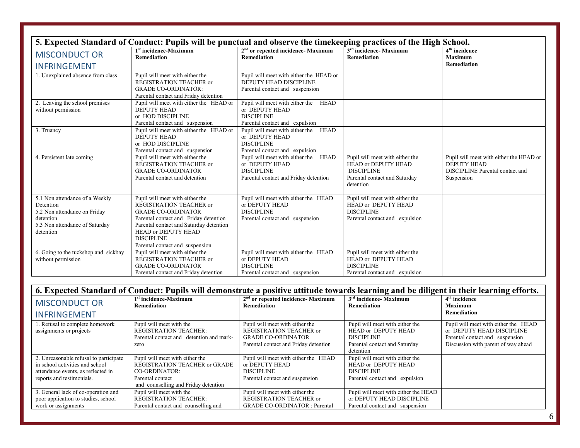| 5. Expected Standard of Conduct: Pupils will be punctual and observe the timekeeping practices of the High School.                      |                                                                                                                                                                                                                                                                   |                                                                                                                         |                                                                                                                           |                                                                                                                       |
|-----------------------------------------------------------------------------------------------------------------------------------------|-------------------------------------------------------------------------------------------------------------------------------------------------------------------------------------------------------------------------------------------------------------------|-------------------------------------------------------------------------------------------------------------------------|---------------------------------------------------------------------------------------------------------------------------|-----------------------------------------------------------------------------------------------------------------------|
| <b>MISCONDUCT OR</b><br><b>INFRINGEMENT</b>                                                                                             | 1 <sup>st</sup> incidence-Maximum<br>Remediation                                                                                                                                                                                                                  | 2 <sup>nd</sup> or repeated incidence- Maximum<br><b>Remediation</b>                                                    | 3 <sup>rd</sup> incidence- Maximum<br><b>Remediation</b>                                                                  | $4th$ incidence<br><b>Maximum</b><br><b>Remediation</b>                                                               |
| 1. Unexplained absence from class                                                                                                       | Pupil will meet with either the<br>REGISTRATION TEACHER or<br><b>GRADE CO-ORDINATOR:</b><br>Parental contact and Friday detention                                                                                                                                 | Pupil will meet with either the HEAD or<br>DEPUTY HEAD DISCIPLINE<br>Parental contact and suspension                    |                                                                                                                           |                                                                                                                       |
| 2. Leaving the school premises<br>without permission                                                                                    | Pupil will meet with either the HEAD or<br><b>DEPUTY HEAD</b><br>or HOD DISCIPLINE<br>Parental contact and suspension                                                                                                                                             | Pupil will meet with either the<br><b>HEAD</b><br>or DEPUTY HEAD<br><b>DISCIPLINE</b><br>Parental contact and expulsion |                                                                                                                           |                                                                                                                       |
| 3. Truancy                                                                                                                              | Pupil will meet with either the HEAD or<br><b>DEPUTY HEAD</b><br>or HOD DISCIPLINE<br>Parental contact and suspension                                                                                                                                             | Pupil will meet with either the HEAD<br>or DEPUTY HEAD<br><b>DISCIPLINE</b><br>Parental contact and expulsion           |                                                                                                                           |                                                                                                                       |
| 4. Persistent late coming                                                                                                               | Pupil will meet with either the<br>REGISTRATION TEACHER or<br><b>GRADE CO-ORDINATOR</b><br>Parental contact and detention                                                                                                                                         | Pupil will meet with either the HEAD<br>or DEPUTY HEAD<br><b>DISCIPLINE</b><br>Parental contact and Friday detention    | Pupil will meet with either the<br>HEAD or DEPUTY HEAD<br><b>DISCIPLINE</b><br>Parental contact and Saturday<br>detention | Pupil will meet with either the HEAD or<br><b>DEPUTY HEAD</b><br><b>DISCIPLINE</b> Parental contact and<br>Suspension |
| 5.1 Non attendance of a Weekly<br>Detention<br>5.2 Non attendance on Friday<br>detention<br>5.3 Non attendance of Saturday<br>detention | Pupil will meet with either the<br>REGISTRATION TEACHER or<br><b>GRADE CO-ORDINATOR</b><br>Parental contact and Friday detention<br>Parental contact and Saturday detention<br><b>HEAD or DEPUTY HEAD</b><br><b>DISCIPLINE</b><br>Parental contact and suspension | Pupil will meet with either the HEAD<br>or DEPUTY HEAD<br><b>DISCIPLINE</b><br>Parental contact and suspension          | Pupil will meet with either the<br>HEAD or DEPUTY HEAD<br><b>DISCIPLINE</b><br>Parental contact and expulsion             |                                                                                                                       |
| 6. Going to the tuckshop and sickbay<br>without permission                                                                              | Pupil will meet with either the<br>REGISTRATION TEACHER or<br><b>GRADE CO-ORDINATOR</b><br>Parental contact and Friday detention                                                                                                                                  | Pupil will meet with either the HEAD<br>or DEPUTY HEAD<br><b>DISCIPLINE</b><br>Parental contact and suspension          | Pupil will meet with either the<br><b>HEAD or DEPUTY HEAD</b><br><b>DISCIPLINE</b><br>Parental contact and expulsion      |                                                                                                                       |

| 6. Expected Standard of Conduct: Pupils will demonstrate a positive attitude towards learning and be diligent in their learning efforts.     |                                                                                                                                               |                                                                                                                                         |                                                                                                                           |                                                                                                                                             |
|----------------------------------------------------------------------------------------------------------------------------------------------|-----------------------------------------------------------------------------------------------------------------------------------------------|-----------------------------------------------------------------------------------------------------------------------------------------|---------------------------------------------------------------------------------------------------------------------------|---------------------------------------------------------------------------------------------------------------------------------------------|
| <b>MISCONDUCT OR</b>                                                                                                                         | 1 <sup>st</sup> incidence-Maximum<br>Remediation                                                                                              | 2 <sup>nd</sup> or repeated incidence- Maximum<br>Remediation                                                                           | 3 <sup>rd</sup> incidence- Maximum<br>Remediation                                                                         | $4th$ incidence<br><b>Maximum</b>                                                                                                           |
| <b>INFRINGEMENT</b>                                                                                                                          |                                                                                                                                               |                                                                                                                                         |                                                                                                                           | <b>Remediation</b>                                                                                                                          |
| 1. Refusal to complete homework<br>assignments or projects                                                                                   | Pupil will meet with the<br><b>REGISTRATION TEACHER:</b><br>Parental contact and detention and mark-<br>zero                                  | Pupil will meet with either the<br><b>REGISTRATION TEACHER or</b><br><b>GRADE CO-ORDINATOR</b><br>Parental contact and Friday detention | Pupil will meet with either the<br>HEAD or DEPUTY HEAD<br><b>DISCIPLINE</b><br>Parental contact and Saturday<br>detention | Pupil will meet with either the HEAD<br>or DEPUTY HEAD DISCIPLINE<br>Parental contact and suspension<br>Discussion with parent of way ahead |
| 2. Unreasonable refusal to participate<br>in school activities and school<br>attendance events, as reflected in<br>reports and testimonials. | Pupil will meet with either the<br>REGISTRATION TEACHER or GRADE<br>CO-ORDINATOR:<br>Parental contact<br>and counselling and Friday detention | Pupil will meet with either the HEAD<br>or DEPUTY HEAD<br><b>DISCIPLINE</b><br>Parental contact and suspension                          | Pupil will meet with either the<br>HEAD or DEPUTY HEAD<br><b>DISCIPLINE</b><br>Parental contact and expulsion             |                                                                                                                                             |
| 3. General lack of co-operation and<br>poor application to studies, school<br>work or assignments                                            | Pupil will meet with the<br><b>REGISTRATION TEACHER:</b><br>Parental contact and counselling and                                              | Pupil will meet with either the<br><b>REGISTRATION TEACHER or</b><br><b>GRADE CO-ORDINATOR: Parental</b>                                | Pupil will meet with either the HEAD<br>or DEPUTY HEAD DISCIPLINE<br>Parental contact and suspension                      |                                                                                                                                             |